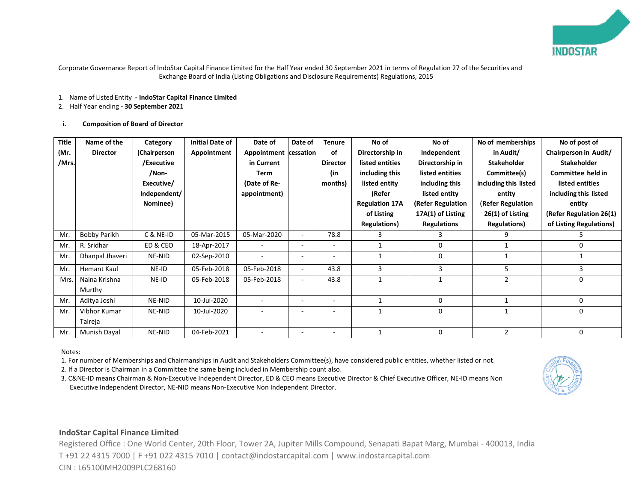

Corporate Governance Report of IndoStar Capital Finance Limited for the Half Year ended 30 September 2021 in terms of Regulation 27 of the Securities and Exchange Board of India (Listing Obligations and Disclosure Requirements) Regulations, 2015

### 1. Name of Listed Entity **- IndoStar Capital Finance Limited**

2. Half Year ending **- 30 September 2021**

## **i. Composition of Board of Director**

| Title | Name of the        | Category     | <b>Initial Date of</b> | Date of                  | Date of | <b>Tenure</b>            | No of                 | No of              | No of memberships        | No of post of           |
|-------|--------------------|--------------|------------------------|--------------------------|---------|--------------------------|-----------------------|--------------------|--------------------------|-------------------------|
| (Mr.  | <b>Director</b>    | (Chairperson | Appointment            | Appointment cessation    |         | of                       | Directorship in       | Independent        | in Audit/                | Chairperson in Audit/   |
| /Mrs. |                    | /Executive   |                        | in Current               |         | <b>Director</b>          | listed entities       | Directorship in    | <b>Stakeholder</b>       | <b>Stakeholder</b>      |
|       |                    | /Non-        |                        | Term                     |         | (in                      | including this        | listed entities    | Committee(s)             | Committee held in       |
|       |                    | Executive/   |                        | (Date of Re-             |         | months)                  | listed entity         | including this     | including this listed    | listed entities         |
|       |                    | Independent/ |                        | appointment)             |         |                          | (Refer                | listed entity      | entity                   | including this listed   |
|       |                    | Nominee)     |                        |                          |         |                          | <b>Regulation 17A</b> | (Refer Regulation  | <b>(Refer Regulation</b> | entity                  |
|       |                    |              |                        |                          |         |                          | of Listing            | 17A(1) of Listing  | 26(1) of Listing         | (Refer Regulation 26(1) |
|       |                    |              |                        |                          |         |                          | <b>Regulations</b> )  | <b>Regulations</b> | <b>Regulations</b> )     | of Listing Regulations) |
| Mr.   | Bobby Parikh       | C & NE-ID    | 05-Mar-2015            | 05-Mar-2020              | $\sim$  | 78.8                     | 3                     |                    | 9                        | 5                       |
| Mr.   | R. Sridhar         | ED & CEO     | 18-Apr-2017            | ۰                        | ۰       | $\overline{\phantom{a}}$ |                       | 0                  |                          | 0                       |
| Mr.   | Dhanpal Jhaveri    | NE-NID       | 02-Sep-2010            | $\overline{\phantom{a}}$ | ۰       | $\blacksquare$           |                       | $\Omega$           | $\mathbf{1}$             |                         |
| Mr.   | <b>Hemant Kaul</b> | NE-ID        | 05-Feb-2018            | 05-Feb-2018              | $\sim$  | 43.8                     | 3                     | 3                  | 5                        | 3                       |
| Mrs.  | Naina Krishna      | NE-ID        | 05-Feb-2018            | 05-Feb-2018              |         | 43.8                     |                       |                    | $\overline{2}$           | 0                       |
|       | Murthy             |              |                        |                          |         |                          |                       |                    |                          |                         |
| Mr.   | Aditya Joshi       | NE-NID       | 10-Jul-2020            |                          |         | $\overline{\phantom{a}}$ |                       | 0                  | $\mathbf{1}$             | 0                       |
| Mr.   | Vibhor Kumar       | NE-NID       | 10-Jul-2020            |                          |         |                          |                       | $\Omega$           | $\mathbf{1}$             | 0                       |
|       | Talreja            |              |                        |                          |         |                          |                       |                    |                          |                         |
| Mr.   | Munish Dayal       | NE-NID       | 04-Feb-2021            |                          |         |                          |                       | $\Omega$           | $\overline{2}$           | 0                       |

Notes:

1. For number of Memberships and Chairmanships in Audit and Stakeholders Committee(s), have considered public entities, whether listed or not.

2. If a Director is Chairman in a Committee the same being included in Membership count also.

3. C&NE-ID means Chairman & Non-Executive Independent Director, ED & CEO means Executive Director & Chief Executive Officer, NE-ID means Non Executive Independent Director, NE-NID means Non-Executive Non Independent Director.



# **IndoStar Capital Finance Limited**

 Registered Office : One World Center, 20th Floor, Tower 2A, Jupiter Mills Compound, Senapati Bapat Marg, Mumbai - 400013, India T +91 22 4315 7000 | F +91 022 4315 7010 | contact@indostarcapital.com | www.indostarcapital.com CIN : L65100MH2009PLC268160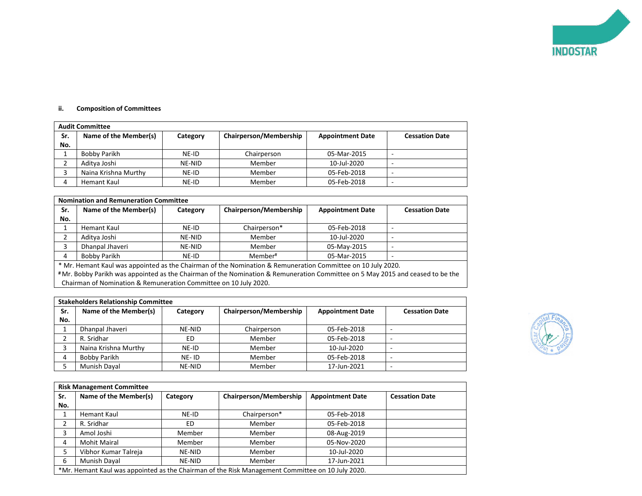

## **ii. Composition of Committees**

|     | <b>Audit Committee</b> |          |                        |                         |                          |  |  |
|-----|------------------------|----------|------------------------|-------------------------|--------------------------|--|--|
| Sr. | Name of the Member(s)  | Category | Chairperson/Membership | <b>Appointment Date</b> | <b>Cessation Date</b>    |  |  |
| No. |                        |          |                        |                         |                          |  |  |
|     | Bobby Parikh           | NE-ID    | Chairperson            | 05-Mar-2015             | -                        |  |  |
|     | Aditya Joshi           | NE-NID   | Member                 | 10-Jul-2020             | $\overline{\phantom{a}}$ |  |  |
|     | Naina Krishna Murthy   | NE-ID    | Member                 | 05-Feb-2018             | -                        |  |  |
|     | Hemant Kaul            | NE-ID    | Member                 | 05-Feb-2018             | $\overline{\phantom{a}}$ |  |  |

| <b>Nomination and Remuneration Committee</b> |
|----------------------------------------------|
|----------------------------------------------|

| Sr.                                                                                                         | Name of the Member(s)                                                                                                         | Category | Chairperson/Membership | <b>Appointment Date</b> | <b>Cessation Date</b> |  |
|-------------------------------------------------------------------------------------------------------------|-------------------------------------------------------------------------------------------------------------------------------|----------|------------------------|-------------------------|-----------------------|--|
| No.                                                                                                         |                                                                                                                               |          |                        |                         |                       |  |
|                                                                                                             | Hemant Kaul                                                                                                                   | NE-ID    | Chairperson*           | 05-Feb-2018             |                       |  |
|                                                                                                             | Aditya Joshi                                                                                                                  | NE-NID   | Member                 | 10-Jul-2020             |                       |  |
|                                                                                                             | Dhanpal Jhaveri                                                                                                               | NE-NID   | Member                 | 05-May-2015             |                       |  |
| 4                                                                                                           | Bobby Parikh<br>Member#<br>05-Mar-2015<br>NE-ID                                                                               |          |                        |                         |                       |  |
| * Mr. Hemant Kaul was appointed as the Chairman of the Nomination & Remuneration Committee on 10 July 2020. |                                                                                                                               |          |                        |                         |                       |  |
|                                                                                                             | #Mr. Bobby Parikh was appointed as the Chairman of the Nomination & Remuneration Committee on 5 May 2015 and ceased to be the |          |                        |                         |                       |  |

Chairman of Nomination & Remuneration Committee on 10 July 2020.

| <b>Stakeholders Relationship Committee</b> |                       |          |                        |                         |                          |  |
|--------------------------------------------|-----------------------|----------|------------------------|-------------------------|--------------------------|--|
| Sr.                                        | Name of the Member(s) | Category | Chairperson/Membership | <b>Appointment Date</b> | <b>Cessation Date</b>    |  |
| No.                                        |                       |          |                        |                         |                          |  |
|                                            | Dhanpal Jhaveri       | NE-NID   | Chairperson            | 05-Feb-2018             |                          |  |
|                                            | R. Sridhar            | ED       | Member                 | 05-Feb-2018             | $\overline{\phantom{a}}$ |  |
|                                            | Naina Krishna Murthy  | NE-ID    | Member                 | 10-Jul-2020             | <b>1</b>                 |  |
| 4                                          | Bobby Parikh          | NE-ID    | Member                 | 05-Feb-2018             |                          |  |
|                                            | Munish Dayal          | NE-NID   | Member                 | 17-Jun-2021             |                          |  |



|     | <b>Risk Management Committee</b> |          |                                                                                                  |                         |                       |  |
|-----|----------------------------------|----------|--------------------------------------------------------------------------------------------------|-------------------------|-----------------------|--|
| Sr. | Name of the Member(s)            | Category | Chairperson/Membership                                                                           | <b>Appointment Date</b> | <b>Cessation Date</b> |  |
| No. |                                  |          |                                                                                                  |                         |                       |  |
|     | Hemant Kaul                      | NE-ID    | Chairperson*                                                                                     | 05-Feb-2018             |                       |  |
| າ   | R. Sridhar                       | ED       | Member                                                                                           | 05-Feb-2018             |                       |  |
| 3   | Amol Joshi                       | Member   | Member                                                                                           | 08-Aug-2019             |                       |  |
| 4   | <b>Mohit Mairal</b>              | Member   | Member                                                                                           | 05-Nov-2020             |                       |  |
| 5   | Vibhor Kumar Talreja             | NE-NID   | Member                                                                                           | 10-Jul-2020             |                       |  |
| 6   | Munish Dayal                     | NE-NID   | Member                                                                                           | 17-Jun-2021             |                       |  |
|     |                                  |          | *Mr. Hemant Kaul was appointed as the Chairman of the Risk Management Committee on 10 July 2020. |                         |                       |  |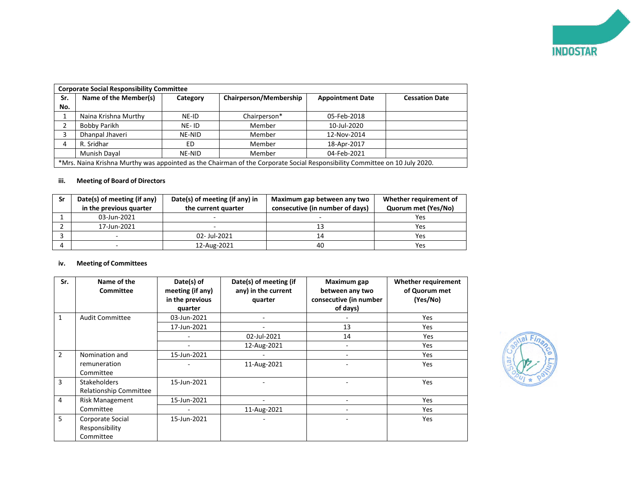

|                                                 | <b>Corporate Social Responsibility Committee</b>                                                                           |        |                       |             |  |  |
|-------------------------------------------------|----------------------------------------------------------------------------------------------------------------------------|--------|-----------------------|-------------|--|--|
| Sr.                                             | Name of the Member(s)<br>Chairperson/Membership<br><b>Appointment Date</b><br>Category                                     |        | <b>Cessation Date</b> |             |  |  |
| No.                                             |                                                                                                                            |        |                       |             |  |  |
|                                                 | Naina Krishna Murthy                                                                                                       | NE-ID  | Chairperson*          | 05-Feb-2018 |  |  |
|                                                 | Bobby Parikh                                                                                                               | NE-ID  | Member                | 10-Jul-2020 |  |  |
|                                                 | Dhanpal Jhaveri                                                                                                            | NE-NID | Member                | 12-Nov-2014 |  |  |
| 4                                               | R. Sridhar                                                                                                                 | ED     | Member                | 18-Apr-2017 |  |  |
| 04-Feb-2021<br>Munish Dayal<br>NE-NID<br>Member |                                                                                                                            |        |                       |             |  |  |
|                                                 | *Mrs. Naina Krishna Murthy was appointed as the Chairman of the Corporate Social Responsibility Committee on 10 July 2020. |        |                       |             |  |  |

## **iii. Meeting of Board of Directors**

| Sr | Date(s) of meeting (if any)<br>in the previous quarter | Date(s) of meeting (if any) in<br>the current quarter | Maximum gap between any two<br>consecutive (in number of days) | Whether requirement of<br>Quorum met (Yes/No) |
|----|--------------------------------------------------------|-------------------------------------------------------|----------------------------------------------------------------|-----------------------------------------------|
|    | 03-Jun-2021                                            |                                                       | -                                                              | Yes                                           |
|    | 17-Jun-2021                                            | $\overline{\phantom{0}}$                              | 13                                                             | Yes                                           |
|    |                                                        | 02-Jul-2021                                           | 14                                                             | Yes                                           |
|    |                                                        | 12-Aug-2021                                           | 40                                                             | Yes                                           |

## **iv. Meeting of Committees**

| Sr.            | Name of the<br>Committee                             | Date(s) of<br>meeting (if any)<br>in the previous<br>quarter | Date(s) of meeting (if<br>any) in the current<br>quarter | Maximum gap<br>between any two<br>consecutive (in number<br>of days) | Whether requirement<br>of Quorum met<br>(Yes/No) |
|----------------|------------------------------------------------------|--------------------------------------------------------------|----------------------------------------------------------|----------------------------------------------------------------------|--------------------------------------------------|
| $\mathbf{1}$   | <b>Audit Committee</b>                               | 03-Jun-2021                                                  |                                                          |                                                                      | Yes                                              |
|                |                                                      | 17-Jun-2021                                                  |                                                          | 13                                                                   | Yes                                              |
|                |                                                      |                                                              | 02-Jul-2021                                              | 14                                                                   | <b>Yes</b>                                       |
|                |                                                      |                                                              | 12-Aug-2021                                              |                                                                      | Yes                                              |
| $\overline{2}$ | Nomination and                                       | 15-Jun-2021                                                  |                                                          |                                                                      | Yes                                              |
|                | remuneration<br>Committee                            |                                                              | 11-Aug-2021                                              |                                                                      | Yes                                              |
| 3              | <b>Stakeholders</b><br><b>Relationship Committee</b> | 15-Jun-2021                                                  |                                                          |                                                                      | Yes                                              |
| $\overline{4}$ | <b>Risk Management</b>                               | 15-Jun-2021                                                  |                                                          |                                                                      | Yes                                              |
|                | Committee                                            |                                                              | 11-Aug-2021                                              |                                                                      | <b>Yes</b>                                       |
| 5              | Corporate Social<br>Responsibility<br>Committee      | 15-Jun-2021                                                  |                                                          |                                                                      | Yes                                              |

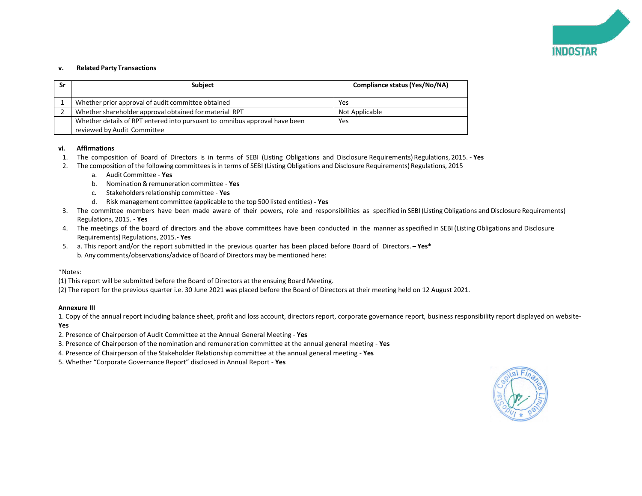

### **v. Related Party Transactions**

| Sr | <b>Subject</b>                                                                                            | Compliance status (Yes/No/NA) |
|----|-----------------------------------------------------------------------------------------------------------|-------------------------------|
|    | Whether prior approval of audit committee obtained                                                        | Yes                           |
|    | Whether shareholder approval obtained for material RPT                                                    | Not Applicable                |
|    | Whether details of RPT entered into pursuant to omnibus approval have been<br>reviewed by Audit Committee | Yes                           |

### **vi. Affirmations**

- 1. The composition of Board of Directors is in terms of SEBI (Listing Obligations and Disclosure Requirements) Regulations, 2015. **Yes**
- 2. The composition of the following committeesisin terms of SEBI (Listing Obligations and Disclosure Requirements) Regulations, 2015
	- a. AuditCommittee **Yes**
	- b. Nomination&remuneration committee **Yes**
	- c. Stakeholdersrelationshipcommittee **Yes**
	- d. Risk management committee (applicable to the top 500 listed entities) **- Yes**
- 3. The committee members have been made aware of their powers, role and responsibilities as specified in SEBI (Listing Obligations and Disclosure Requirements) Regulations, 2015. **- Yes**
- 4. The meetings of the board of directors and the above committees have been conducted in the manner asspecified in SEBI (Listing Obligations and Disclosure Requirements) Regulations, 2015.**- Yes**
- 5. a. This report and/or the report submitted in the previous quarter has been placed before Board of Directors. **– Yes\*** b. Any comments/observations/advice of Board of Directors may be mentioned here:

### \*Notes:

- (1) This report will be submitted before the Board of Directors at the ensuing Board Meeting.
- (2) The report for the previous quarter i.e. 30 June 2021 was placed before the Board of Directors at their meeting held on 12 August 2021.

### **Annexure III**

1. Copy of the annual report including balance sheet, profit and loss account, directors report, corporate governance report, business responsibility report displayed on website-**Yes** 

- 2. Presence of Chairperson of Audit Committee at the Annual General Meeting **Yes**
- 3. Presence of Chairperson of the nomination and remuneration committee at the annual general meeting **Yes**
- 4. Presence of Chairperson of the Stakeholder Relationship committee at the annual general meeting **Yes**
- 5. Whether "Corporate Governance Report" disclosed in Annual Report **Yes**

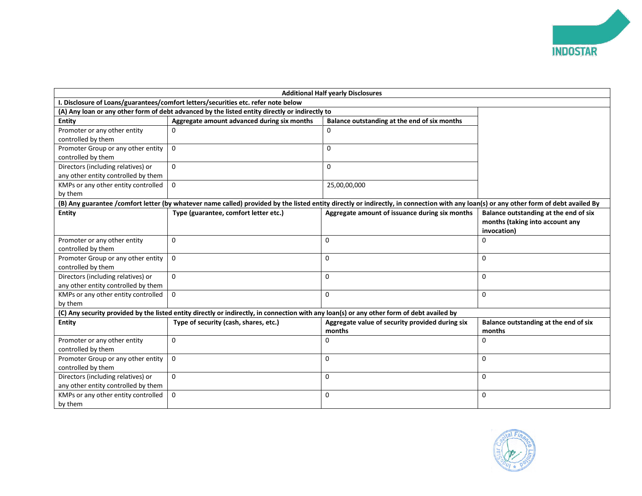

|                                                                           | <b>Additional Half yearly Disclosures</b>                                                                                                  |                                                                                                                                                                                       |                                                                                         |  |  |  |  |
|---------------------------------------------------------------------------|--------------------------------------------------------------------------------------------------------------------------------------------|---------------------------------------------------------------------------------------------------------------------------------------------------------------------------------------|-----------------------------------------------------------------------------------------|--|--|--|--|
|                                                                           | I. Disclosure of Loans/guarantees/comfort letters/securities etc. refer note below                                                         |                                                                                                                                                                                       |                                                                                         |  |  |  |  |
|                                                                           | (A) Any loan or any other form of debt advanced by the listed entity directly or indirectly to                                             |                                                                                                                                                                                       |                                                                                         |  |  |  |  |
| <b>Entity</b>                                                             | Aggregate amount advanced during six months                                                                                                | Balance outstanding at the end of six months                                                                                                                                          |                                                                                         |  |  |  |  |
| Promoter or any other entity<br>controlled by them                        | 0                                                                                                                                          | 0                                                                                                                                                                                     |                                                                                         |  |  |  |  |
| Promoter Group or any other entity<br>controlled by them                  | $\Omega$                                                                                                                                   | 0                                                                                                                                                                                     |                                                                                         |  |  |  |  |
| Directors (including relatives) or<br>any other entity controlled by them | 0                                                                                                                                          | 0                                                                                                                                                                                     |                                                                                         |  |  |  |  |
| KMPs or any other entity controlled<br>by them                            | 0                                                                                                                                          | 25,00,00,000                                                                                                                                                                          |                                                                                         |  |  |  |  |
|                                                                           |                                                                                                                                            | (B) Any guarantee /comfort letter (by whatever name called) provided by the listed entity directly or indirectly, in connection with any loan(s) or any other form of debt availed By |                                                                                         |  |  |  |  |
| <b>Entity</b>                                                             | Type (guarantee, comfort letter etc.)                                                                                                      | Aggregate amount of issuance during six months                                                                                                                                        | Balance outstanding at the end of six<br>months (taking into account any<br>invocation) |  |  |  |  |
| Promoter or any other entity<br>controlled by them                        | 0                                                                                                                                          | $\mathbf 0$                                                                                                                                                                           | 0                                                                                       |  |  |  |  |
| Promoter Group or any other entity<br>controlled by them                  | 0                                                                                                                                          | 0                                                                                                                                                                                     | 0                                                                                       |  |  |  |  |
| Directors (including relatives) or<br>any other entity controlled by them | $\Omega$                                                                                                                                   | $\Omega$                                                                                                                                                                              | $\Omega$                                                                                |  |  |  |  |
| KMPs or any other entity controlled<br>by them                            | 0                                                                                                                                          | 0                                                                                                                                                                                     | 0                                                                                       |  |  |  |  |
|                                                                           | (C) Any security provided by the listed entity directly or indirectly, in connection with any loan(s) or any other form of debt availed by |                                                                                                                                                                                       |                                                                                         |  |  |  |  |
| <b>Entity</b>                                                             | Type of security (cash, shares, etc.)                                                                                                      | Aggregate value of security provided during six<br>months                                                                                                                             | Balance outstanding at the end of six<br>months                                         |  |  |  |  |
| Promoter or any other entity<br>controlled by them                        | 0                                                                                                                                          | 0                                                                                                                                                                                     | 0                                                                                       |  |  |  |  |
| Promoter Group or any other entity<br>controlled by them                  | 0                                                                                                                                          | 0                                                                                                                                                                                     | 0                                                                                       |  |  |  |  |
| Directors (including relatives) or<br>any other entity controlled by them | 0                                                                                                                                          | 0                                                                                                                                                                                     | 0                                                                                       |  |  |  |  |
| KMPs or any other entity controlled<br>by them                            | $\Omega$                                                                                                                                   | 0                                                                                                                                                                                     | 0                                                                                       |  |  |  |  |